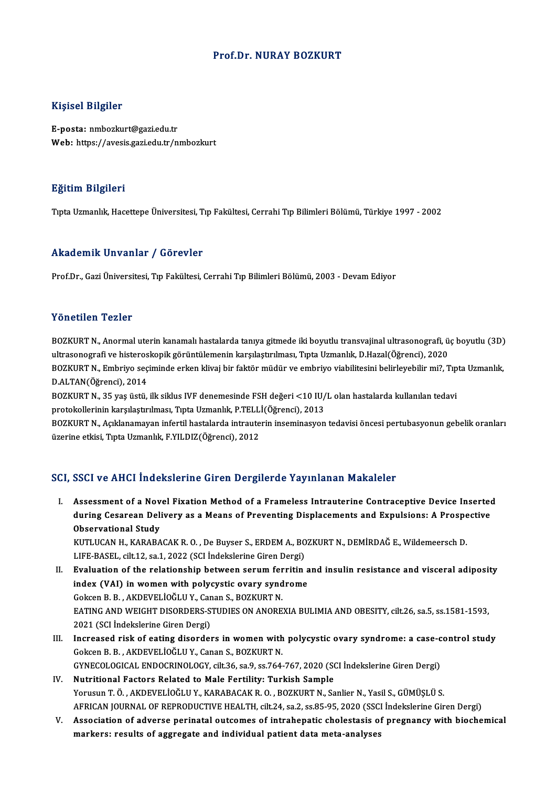## Prof.Dr. NURAY BOZKURT

## Kişisel Bilgiler

E-posta: nmbozkurt@gazi.edu.tr Web: https://avesis.gazi.edu.tr/nmbozkurt

### Eğitim Bilgileri

Tıpta Uzmanlık, Hacettepe Üniversitesi, Tıp Fakültesi, Cerrahi Tıp Bilimleri Bölümü, Türkiye 1997 - 2002

#### Akademik Unvanlar / Görevler

Prof.Dr., Gazi Üniversitesi, Tıp Fakültesi, Cerrahi Tıp Bilimleri Bölümü, 2003 - Devam Ediyor

#### Yönetilen Tezler

Yönetilen Tezler<br>BOZKURT N., Anormal uterin kanamalı hastalarda tanıya gitmede iki boyutlu transvajinal ultrasonografi, üç boyutlu (3D)<br>ultrasonografi ve bistaneskanik görüntülemenin karavlastrulması. Tuta Urmanlık, D.Hara 1 SILSENSII TSINSI<br>BOZKURT N., Anormal uterin kanamalı hastalarda tanıya gitmede iki boyutlu transvajinal ultrasonografi, ü<br>ultrasonografi ve histeroskopik görüntülemenin karşılaştırılması, Tıpta Uzmanlık, D.Hazal(Öğrenci) BOZKURT N., Anormal uterin kanamalı hastalarda tanıya gitmede iki boyutlu transvajinal ultrasonografi, üç boyutlu (3D)<br>ultrasonografi ve histeroskopik görüntülemenin karşılaştırılması, Tıpta Uzmanlık, D.Hazal(Öğrenci), 202 ultrasonografi ve histeroskopik görüntülemenin karşılaştırılması, Tıpta Uzmanlık, D.Hazal(Öğrenci), 2020<br>BOZKURT N., Embriyo seçiminde erken klivaj bir faktör müdür ve embriyo viabilitesini belirleyebilir mi?, Tıp<br>D.ALTAN( BOZKURT N., Embriyo seçiminde erken klivaj bir faktör müdür ve embriyo viabilitesini belirleyebilir mi?, Tıp<br>D.ALTAN(Öğrenci), 2014<br>BOZKURT N., 35 yaş üstü, ilk siklus IVF denemesinde FSH değeri <10 IU/L olan hastalarda ku

protokollerinin karşılaştırılması, Tıpta Uzmanlık, P.TELLİ(Öğrenci), 2013 BOZKURT N., 35 yaş üstü, ilk siklus IVF denemesinde FSH değeri <10 IU/L olan hastalarda kullanılan tedavi<br>protokollerinin karşılaştırılması, Tıpta Uzmanlık, P.TELLİ(Öğrenci), 2013<br>BOZKURT N., Açıklanamayan infertil hastala

protokollerinin karşılaştırılması, Tıpta Uzmanlık, P.TELL<br>BOZKURT N., Açıklanamayan infertil hastalarda intraute<br>üzerine etkisi, Tıpta Uzmanlık, F.YILDIZ(Öğrenci), 2012

# üzerine etkisi, Tıpta Uzmanlık, F.YILDIZ(Öğrenci), 2012<br>SCI, SSCI ve AHCI İndekslerine Giren Dergilerde Yayınlanan Makaleler

I. Assessment of a Novel Fixation Method of a Frameless Intrauterine Contraceptive Device Inserted during Cesarean Delivery and Method of a Frameless Intrauterine Contraceptive Device Inserted<br>during Cesarean Delivery as a Means of Preventing Displacements and Expulsions: A Prospective<br>Observational Study Assessment of a Nov<br>during Cesarean Deli<br>Observational Study<br>KUTI UCAN H, KARARA during Cesarean Delivery as a Means of Preventing Displacements and Expulsions: A Prospe<br>Observational Study<br>KUTLUCAN H., KARABACAK R. O. , De Buyser S., ERDEM A., BOZKURT N., DEMİRDAĞ E., Wildemeersch D.<br>LIEE BASEL, silt Observational Study<br>KUTLUCAN H., KARABACAK R. O. , De Buyser S., ERDEM A., BO<br>LIFE-BASEL, cilt.12, sa.1, 2022 (SCI İndekslerine Giren Dergi)<br>Fyalustion of the relationship between senum fonzitin

KUTLUCAN H., KARABACAK R. O. , De Buyser S., ERDEM A., BOZKURT N., DEMİRDAĞ E., Wildemeersch D.<br>LIFE-BASEL, cilt.12, sa.1, 2022 (SCI İndekslerine Giren Dergi)<br>II. Evaluation of the relationship between serum ferritin and i LIFE-BASEL, cilt.12, sa.1, 2022 (SCI İndekslerine Giren Dergi)<br>Evaluation of the relationship between serum ferritin a<br>index (VAI) in women with polycystic ovary syndrome<br>Cokean B-B-AKDEVELIOČLU V-Canan S-BOZKUPT N Evaluation of the relationship between serum fer<br>index (VAI) in women with polycystic ovary synd<br>Gokcen B. B. , AKDEVELİOĞLU Y., Canan S., BOZKURT N.<br>EATING AND WEIGHT DISOPDERS STUDIES ON ANORE EATING AND WEIGHT DISORDERS-STUDIES ON ANOREXIA BULIMIA AND OBESITY, cilt.26, sa.5, ss.1581-1593,<br>2021 (SCI İndekslerine Giren Dergi) Gokcen B. B. , AKDEVELİOĞLU Y., Car<br>EATING AND WEIGHT DISORDERS-S<br>2021 (SCI İndekslerine Giren Dergi)<br>Increased risk of eating disorder EATING AND WEIGHT DISORDERS-STUDIES ON ANOREXIA BULIMIA AND OBESITY, cilt.26, sa.5, ss.1581-1593,<br>2021 (SCI Indekslerine Giren Dergi)<br>III. Increased risk of eating disorders in women with polycystic ovary syndrome: a case-

- 2021 (SCI İndekslerine Giren Dergi)<br>Increased risk of eating disorders in women with<br>Gokcen B. B. , AKDEVELİOĞLU Y., Canan S., BOZKURT N.<br>CYNECOLOCICAL ENDOCRINOLOCY, silt 36.53.9.53.764. Increased risk of eating disorders in women with polycystic ovary syndrome: a case-c<br>Gokcen B. B. , AKDEVELİOĞLU Y., Canan S., BOZKURT N.<br>GYNECOLOGICAL ENDOCRINOLOGY, cilt.36, sa.9, ss.764-767, 2020 (SCI İndekslerine Giren Gokcen B. B. , AKDEVELİOĞLU Y., Canan S., BOZKURT N.<br>GYNECOLOGICAL ENDOCRINOLOGY, cilt.36, sa.9, ss.764-767, 2020 (SCI İndekslerine Giren Dergi)<br>IV. Nutritional Factors Related to Male Fertility: Turkish Sample
- Yorusun T. Ö., AKDEVELİOĞLU Y., KARABACAK R. O., BOZKURT N., Sanlier N., Yasil S., GÜMÜŞLÜ S. Nutritional Factors Related to Male Fertility: Turkish Sample<br>Yorusun T. Ö. , AKDEVELİOĞLU Y., KARABACAK R. O. , BOZKURT N., Sanlier N., Yasil S., GÜMÜŞLÜ S.<br>AFRICAN JOURNAL OF REPRODUCTIVE HEALTH, cilt.24, sa.2, ss.85-95,
- V. Association of adverse perinatal outcomes of intrahepatic cholestasis of pregnancy with biochemical AFRICAN JOURNAL OF REPRODUCTIVE HEALTH, cilt.24, sa.2, ss.85-95, 2020 (SSC.<br>Association of adverse perinatal outcomes of intrahepatic cholestasis o:<br>markers: results of aggregate and individual patient data meta-analyses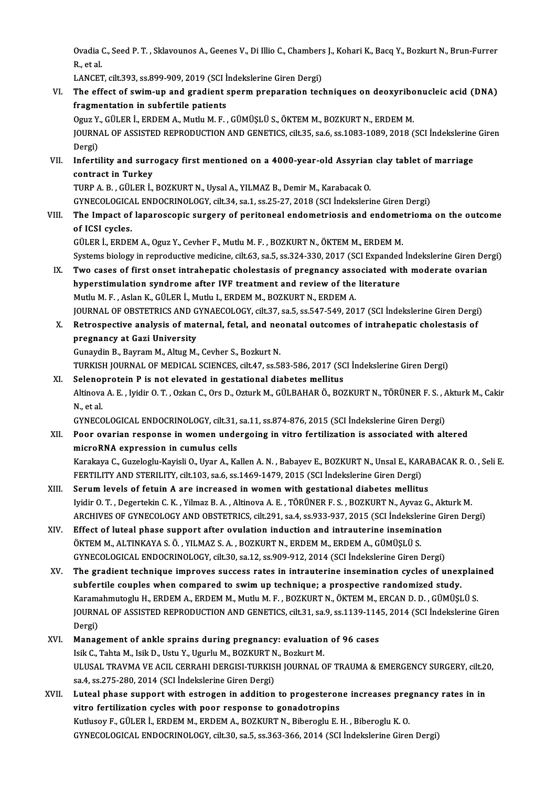Ovadia C., Seed P. T. , Sklavounos A., Geenes V., Di Illio C., Chambers J., Kohari K., Bacq Y., Bozkurt N., Brun-Furrer<br>P. st.sl Ovadia (<br>R., et al.<br>LANCET Ovadia C., Seed P. T. , Sklavounos A., Geenes V., Di Illio C., Chambers<br>R., et al.<br>LANCET, cilt.393, ss.899-909, 2019 (SCI İndekslerine Giren Dergi)<br>The effect of suim un and gradient sperm preparation tecl

R., et al.<br>LANCET, cilt.393, ss.899-909, 2019 (SCI İndekslerine Giren Dergi)<br>VI. The effect of swim-up and gradient sperm preparation techniques on deoxyribonucleic acid (DNA)<br>fragmentation in subfartile patients LANCET, cilt.393, ss.899-909, 2019 (SCI İ<br>The effect of swim-up and gradient s<br>fragmentation in subfertile patients<br>Oguz V. CÜLER İ. ERREM A. Muthy M. E The effect of swim-up and gradient sperm preparation techniques on deoxyribo<br>fragmentation in subfertile patients<br>Oguz Y., GÜLER İ., ERDEM A., Mutlu M. F. , GÜMÜŞLÜ S., ÖKTEM M., BOZKURT N., ERDEM M.<br>JOUPMAL OF ASSISTED PE fragmentation in subfertile patients<br>Oguz Y., GÜLER İ., ERDEM A., Mutlu M. F. , GÜMÜŞLÜ S., ÖKTEM M., BOZKURT N., ERDEM M.<br>JOURNAL OF ASSISTED REPRODUCTION AND GENETICS, cilt.35, sa.6, ss.1083-1089, 2018 (SCI İndekslerine Oguz Y<br>JOURN<br>Dergi)<br>Inforti JOURNAL OF ASSISTED REPRODUCTION AND GENETICS, cilt.35, sa.6, ss.1083-1089, 2018 (SCI İndekslerine<br>Dergi)<br>VII. Infertility and surrogacy first mentioned on a 4000-year-old Assyrian clay tablet of marriage<br>contract in Turke Dergi)<br>Infertility and surr<br>contract in Turkey<br>TUPP A P - CÜLEP İ Infertility and surrogacy first mentioned on a 4000-year-old Assyrian<br>contract in Turkey<br>TURP A. B., GÜLER İ., BOZKURT N., Uysal A., YILMAZ B., Demir M., Karabacak O.<br>CYNECOLOGICAL ENDOCRINOLOGY. silt 34. sa 1. sa 25. 27. contract in Turkey<br>TURP A. B. , GÜLER İ., BOZKURT N., Uysal A., YILMAZ B., Demir M., Karabacak O.<br>GYNECOLOGICAL ENDOCRINOLOGY, cilt.34, sa.1, ss.25-27, 2018 (SCI İndekslerine Giren Dergi) TURP A. B. , GÜLER İ., BOZKURT N., Uysal A., YILMAZ B., Demir M., Karabacak O.<br>GYNECOLOGICAL ENDOCRINOLOGY, cilt.34, sa.1, ss.25-27, 2018 (SCI İndekslerine Giren Dergi)<br>VIII. The Impact of laparoscopic surgery of perit of ICSI cycles.<br>GÜLER İ., ERDEM A., Oguz Y., Cevher F., Mutlu M. F. , BOZKURT N., ÖKTEM M., ERDEM M. The Impact of laparoscopic surgery of peritoneal endometriosis and endome<br>of ICSI cycles.<br>GÜLER İ., ERDEM A., Oguz Y., Cevher F., Mutlu M. F. , BOZKURT N., ÖKTEM M., ERDEM M.<br>Systems biology in nonreductive medicine, silt of ICSI cycles.<br>GÜLER İ., ERDEM A., Oguz Y., Cevher F., Mutlu M. F. , BOZKURT N., ÖKTEM M., ERDEM M.<br>Systems biology in reproductive medicine, cilt.63, sa.5, ss.324-330, 2017 (SCI Expanded İndekslerine Giren Dergi)<br>Ture ga GÜLER İ., ERDEM A., Oguz Y., Cevher F., Mutlu M. F., BOZKURT N., ÖKTEM M., ERDEM M.<br>Systems biology in reproductive medicine, cilt.63, sa.5, ss.324-330, 2017 (SCI Expanded Indekslerine Giren Der<br>IX. Two cases of first onse Systems biology in reproductive medicine, cilt.63, sa.5, ss.324-330, 2017 (SCI Expanded<br>Two cases of first onset intrahepatic cholestasis of pregnancy associated with<br>hyperstimulation syndrome after IVF treatment and revie Two cases of first onset intrahepatic cholestasis of pregnancy asset<br>hyperstimulation syndrome after IVF treatment and review of the<br>Mutlu M. F. , Aslan K., GÜLER İ., Mutlu I., ERDEM M., BOZKURT N., ERDEM A.<br>JOURNAL OF OPS hyperstimulation syndrome after IVF treatment and review of the literature<br>Mutlu M. F. , Aslan K., GÜLER İ., Mutlu I., ERDEM M., BOZKURT N., ERDEM A.<br>JOURNAL OF OBSTETRICS AND GYNAECOLOGY, cilt.37, sa.5, ss.547-549, 2017 ( Mutlu M. F. , Aslan K., GÜLER İ., Mutlu I., ERDEM M., BOZKURT N., ERDEM A.<br>JOURNAL OF OBSTETRICS AND GYNAECOLOGY, cilt.37, sa.5, ss.547-549, 2017 (SCI İndekslerine Giren Dergi<br>X. Retrospective analysis of maternal, fetal, JOURNAL OF OBSTETRICS AND G<br>Retrospective analysis of mat<br>pregnancy at Gazi University<br>Cunavdin B. Bayram M. Altug M. X. Retrospective analysis of maternal, fetal, and neonatal outcomes of intrahepatic cholestasis of<br>pregnancy at Gazi University<br>Gunaydin B., Bayram M., Altug M., Cevher S., Bozkurt N. pregnancy at Gazi University<br>Gunaydin B., Bayram M., Altug M., Cevher S., Bozkurt N.<br>TURKISH JOURNAL OF MEDICAL SCIENCES, cilt.47, ss.583-586, 2017 (SCI İndekslerine Giren Dergi)<br>Selenenratein B.is net elevated in gestatio Gunaydin B., Bayram M., Altug M., Cevher S., Bozkurt N.<br>TURKISH JOURNAL OF MEDICAL SCIENCES, cilt.47, ss.583-586, 2017 (SC<br>XI. Selenoprotein P is not elevated in gestational diabetes mellitus<br>Altinova A E. Juidir O. T. Ork TURKISH JOURNAL OF MEDICAL SCIENCES, cilt.47, ss.583-586, 2017 (SCI İndekslerine Giren Dergi)<br>Selenoprotein P is not elevated in gestational diabetes mellitus<br>Altinova A. E. , Iyidir O. T. , Ozkan C., Ors D., Ozturk M., GÜ Seleno<br>Altinova<br>N., et al.<br>CYNECC Altinova A. E. , Iyidir O. T. , Ozkan C., Ors D., Ozturk M., GÜLBAHAR Ö., BOZKURT N., TÖRÜNER F. S. , *f*<br>N., et al.<br>GYNECOLOGICAL ENDOCRINOLOGY, cilt.31, sa.11, ss.874-876, 2015 (SCI İndekslerine Giren Dergi)<br>Poer everian N., et al.<br>GYNECOLOGICAL ENDOCRINOLOGY, cilt.31, sa.11, ss.874-876, 2015 (SCI İndekslerine Giren Dergi)<br>XII. Poor ovarian response in women undergoing in vitro fertilization is associated with altered<br> GYNECOLOGICAL ENDOCRINOLOGY, cilt.31,<br>Poor ovarian response in women unde<br>microRNA expression in cumulus cells<br>Karakaya C. Curalaghy Karisli O. Uyar A. Ka microRNA expression in cumulus cells<br>Karakaya C., Guzeloglu-Kayisli O., Uyar A., Kallen A. N. , Babayev E., BOZKURT N., Unsal E., KARABACAK R. O. , Seli E. microRNA expression in cumulus cells<br>Karakaya C., Guzeloglu-Kayisli O., Uyar A., Kallen A. N. , Babayev E., BOZKURT N., Unsal E., KAR<br>FERTILITY AND STERILITY, cilt.103, sa.6, ss.1469-1479, 2015 (SCI İndekslerine Giren Derg Karakaya C., Guzeloglu-Kayisli O., Uyar A., Kallen A. N., Babayev E., BOZKURT N., Unsal E., KARA<br>FERTILITY AND STERILITY, cilt.103, sa.6, ss.1469-1479, 2015 (SCI Indekslerine Giren Dergi)<br>XIII. Serum levels of fetuin A are FERTILITY AND STERILITY, cilt.103, sa.6, ss.1469-1479, 2015 (SCI İndekslerine Giren Dergi)<br>Serum levels of fetuin A are increased in women with gestational diabetes mellitus<br>Iyidir O.T. , Degertekin C. K. , Yilmaz B. A. , Serum levels of fetuin A are increased in women with gestational diabetes mellitus<br>Iyidir O. T. , Degertekin C. K. , Yilmaz B. A. , Altinova A. E. , TÖRÜNER F. S. , BOZKURT N., Ayvaz G., Akturk M.<br>ARCHIVES OF GYNECOLOGY AN Iyidir O. T., Degertekin C. K., Yilmaz B. A., Altinova A. E., TÖRÜNER F. S., BOZKURT N., Ayvaz G., Ak<br>ARCHIVES OF GYNECOLOGY AND OBSTETRICS, cilt.291, sa.4, ss.933-937, 2015 (SCI Indekslerine G:<br>XIV. Effect of luteal phase ARCHIVES OF GYNECOLOGY AND OBSTETRICS, cilt.291, sa.4, ss.933-937, 2015 (SCI İndeksler<br>Effect of luteal phase support after ovulation induction and intrauterine insemina<br>ÖKTEM M., ALTINKAYA S. Ö. , YILMAZ S. A. , BOZKURT N Effect of luteal phase support after ovulation induction and intrauterine insemination<br>ÖKTEM M., ALTINKAYA S. Ö. , YILMAZ S. A. , BOZKURT N., ERDEM M., ERDEM A., GÜMÜŞLÜ S.<br>GYNECOLOGICAL ENDOCRINOLOGY, cilt.30, sa.12, ss.9 ÖKTEM M., ALTINKAYA S. Ö. , YILMAZ S. A. , BOZKURT N., ERDEM M., ERDEM A., GÜMÜŞLÜ S.<br>GYNECOLOGICAL ENDOCRINOLOGY, cilt.30, sa.12, ss.909-912, 2014 (SCI İndekslerine Giren Dergi)<br>XV. The gradient technique improves success GYNECOLOGICAL ENDOCRINOLOGY, cilt.30, sa.12, ss.909-912, 2014 (SCI Indekslerine Giren Dergi)<br>The gradient technique improves success rates in intrauterine insemination cycles of unex<br>subfertile couples when compared to swi The gradient technique improves success rates in intrauterine insemination cycles of unexplair<br>subfertile couples when compared to swim up technique; a prospective randomized study.<br>Karamahmutoglu H., ERDEM A., ERDEM M., M subfertile couples when compared to swim up technique; a prospective randomized study.<br>Karamahmutoglu H., ERDEM A., ERDEM M., Mutlu M. F. , BOZKURT N., ÖKTEM M., ERCAN D. D. , GÜMÜŞLÜ S.<br>JOURNAL OF ASSISTED REPRODUCTION AN Karama<br>JOURN<br>Dergi)<br>Manag JOURNAL OF ASSISTED REPRODUCTION AND GENETICS, cilt.31, sa.9, ss.1139-114<br>Dergi)<br>XVI. Management of ankle sprains during pregnancy: evaluation of 96 cases<br>Jelle C. Tabta M. Jelle D. Hetu V. Heurly M. BOZKHET N. Beglaut M. Dergi)<br>Management of ankle sprains during pregnancy: evaluation of 96 cases<br>Isik C., Tahta M., Isik D., Ustu Y., Ugurlu M., BOZKURT N., Bozkurt M. Management of ankle sprains during pregnancy: evaluation of 96 cases<br>Isik C., Tahta M., Isik D., Ustu Y., Ugurlu M., BOZKURT N., Bozkurt M.<br>ULUSAL TRAVMA VE ACIL CERRAHI DERGISI-TURKISH JOURNAL OF TRAUMA & EMERGENCY SURGER Isik C., Tahta M., Isik D., Ustu Y., Ugurlu M., BOZKURT N<br>ULUSAL TRAVMA VE ACIL CERRAHI DERGISI-TURKIS<br>sa.4, ss.275-280, 2014 (SCI İndekslerine Giren Dergi)<br>Luteal phase sunnant with estrasan in addition ULUSAL TRAVMA VE ACIL CERRAHI DERGISI-TURKISH JOURNAL OF TRAUMA & EMERGENCY SURGERY, cilt.2<br>sa.4, ss.275-280, 2014 (SCI indekslerine Giren Dergi)<br>XVII. Luteal phase support with estrogen in addition to progesterone increas sa.4, ss.275-280, 2014 (SCI İndekslerine Giren Dergi)<br>Luteal phase support with estrogen in addition to progesteron<br>vitro fertilization cycles with poor response to gonadotropins<br>Kutheov E. CÜLER İ. ERDEM M. ERDEM A. POZKU Luteal phase support with estrogen in addition to progesterone increases preg<br>vitro fertilization cycles with poor response to gonadotropins<br>Kutlusoy F., GÜLER İ., ERDEM M., ERDEM A., BOZKURT N., Biberoglu E. H. , Biberogl

vitro fertilization cycles with poor response to gonadotropins<br>Kutlusoy F., GÜLER İ., ERDEM M., ERDEM A., BOZKURT N., Biberoglu E. H. , Biberoglu K. O.<br>GYNECOLOGICAL ENDOCRINOLOGY, cilt.30, sa.5, ss.363-366, 2014 (SCI İnde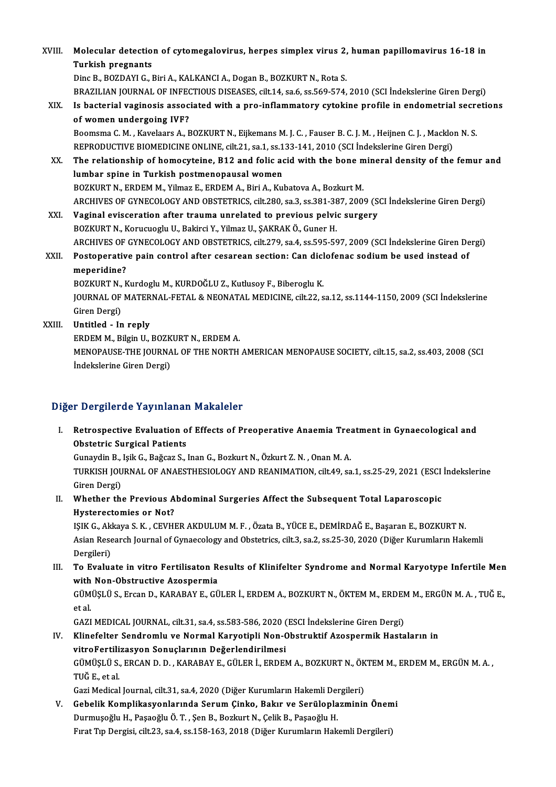| XVIII. | Molecular detection of cytomegalovirus, herpes simplex virus 2, human papillomavirus 16-18 in                 |
|--------|---------------------------------------------------------------------------------------------------------------|
|        | <b>Turkish pregnants</b>                                                                                      |
|        | Dinc B., BOZDAYI G., Biri A., KALKANCI A., Dogan B., BOZKURT N., Rota S.                                      |
|        | BRAZILIAN JOURNAL OF INFECTIOUS DISEASES, cilt.14, sa.6, ss.569-574, 2010 (SCI Indekslerine Giren Dergi)      |
| XIX.   | Is bacterial vaginosis associated with a pro-inflammatory cytokine profile in endometrial secretions          |
|        | of women undergoing IVF?                                                                                      |
|        | Boomsma C. M., Kavelaars A., BOZKURT N., Eijkemans M. J. C., Fauser B. C. J. M., Heijnen C. J., Macklon N. S. |
|        | REPRODUCTIVE BIOMEDICINE ONLINE, cilt.21, sa.1, ss.133-141, 2010 (SCI İndekslerine Giren Dergi)               |
| XX.    | The relationship of homocyteine, B12 and folic acid with the bone mineral density of the femur and            |
|        | lumbar spine in Turkish postmenopausal women                                                                  |
|        | BOZKURT N., ERDEM M., Yilmaz E., ERDEM A., Biri A., Kubatova A., Bozkurt M.                                   |
|        | ARCHIVES OF GYNECOLOGY AND OBSTETRICS, cilt.280, sa.3, ss.381-387, 2009 (SCI İndekslerine Giren Dergi)        |
| XXI.   | Vaginal evisceration after trauma unrelated to previous pelvic surgery                                        |
|        | BOZKURT N., Korucuoglu U., Bakirci Y., Yilmaz U., ŞAKRAK Ö., Guner H.                                         |
|        | ARCHIVES OF GYNECOLOGY AND OBSTETRICS, cilt.279, sa.4, ss.595-597, 2009 (SCI Indekslerine Giren Dergi)        |
| XXII.  | Postoperative pain control after cesarean section: Can diclofenac sodium be used instead of                   |
|        | meperidine?                                                                                                   |
|        | BOZKURT N., Kurdoglu M., KURDOĞLU Z., Kutlusoy F., Biberoglu K.                                               |
|        | JOURNAL OF MATERNAL-FETAL & NEONATAL MEDICINE, cilt.22, sa.12, ss.1144-1150, 2009 (SCI Indekslerine           |
|        | Giren Dergi)                                                                                                  |
| XXIII. | Untitled - In reply                                                                                           |
|        | ERDEM M., Bilgin U., BOZKURT N., ERDEM A.                                                                     |
|        | MENOPAUSE-THE JOURNAL OF THE NORTH AMERICAN MENOPAUSE SOCIETY, cilt.15, sa.2, ss.403, 2008 (SCI               |
|        | İndekslerine Giren Dergi)                                                                                     |
|        |                                                                                                               |

## Diğer Dergilerde Yayınlanan Makaleler

Iger Dergilerde Yayınlanan Makaleler<br>I. Retrospective Evaluation of Effects of Preoperative Anaemia Treatment in Gynaecological and<br>Obstatrie Surgical Patients n Bergherue Tuymanan<br>Retrospective Evaluation of<br>Obstetric Surgical Patients Retrospective Evaluation of Effects of Preoperative Anaemia Trea<br>Obstetric Surgical Patients<br>Gunaydin B., Işik G., Bağcaz S., Inan G., Bozkurt N., Özkurt Z. N. , Onan M. A.<br>TURKISH JOURNAL OF ANAESTHESIOLOGY AND REANIMATIO

Obstetric Surgical Patients<br>Gunaydin B., Işik G., Bağcaz S., Inan G., Bozkurt N., Özkurt Z. N. , Onan M. A.<br>TURKISH JOURNAL OF ANAESTHESIOLOGY AND REANIMATION, cilt.49, sa.1, ss.25-29, 2021 (ESCI İndekslerine<br>Ciron Dorgi) Gunaydin B.,<br>TURKISH JOU<br>Giren Dergi)<br>Whathar th TURKISH JOURNAL OF ANAESTHESIOLOGY AND REANIMATION, cilt.49, sa.1, ss.25-29, 2021 (ESCI<br>Giren Dergi)<br>II. Whether the Previous Abdominal Surgeries Affect the Subsequent Total Laparoscopic<br>Uvertarostamics on Nat?

Giren Dergi)<br>Whether the Previous A<br>Hysterectomies or Not?<br>ISIK C. Aldreve S. K. CEVUI Whether the Previous Abdominal Surgeries Affect the Subsequent Total Laparoscopic<br>Hysterectomies or Not?<br>IŞIK G., Akkaya S. K. , CEVHER AKDULUM M. F. , Özata B., YÜCE E., DEMİRDAĞ E., Başaran E., BOZKURT N.<br>Asian Besearch

Hysterectomies or Not?<br>IŞIK G., Akkaya S. K. , CEVHER AKDULUM M. F. , Özata B., YÜCE E., DEMİRDAĞ E., Başaran E., BOZKURT N.<br>Asian Research Journal of Gynaecology and Obstetrics, cilt.3, sa.2, ss.25-30, 2020 (Diğer Kurumla IŞIK G., Akl<br>Asian Rese<br>Dergileri)<br>Te Evelus Asian Research Journal of Gynaecology and Obstetrics, cilt.3, sa.2, ss.25-30, 2020 (Diğer Kurumların Hakemli<br>Dergileri)<br>III. To Evaluate in vitro Fertilisaton Results of Klinifelter Syndrome and Normal Karyotype Infertile

## Dergileri)<br>To Evaluate in vitro Fertilisaton R<br>with Non-Obstructive Azospermia<br>CÜMÜSLÜS, Ersan D, KARARAV E. CÜ To Evaluate in vitro Fertilisaton Results of Klinifelter Syndrome and Normal Karyotype Infertile Men<br>with Non-Obstructive Azospermia<br>GÜMÜŞLÜ S., Ercan D., KARABAY E., GÜLER İ., ERDEM A., BOZKURT N., ÖKTEM M., ERDEM M., ERG

with<br>GÜM<br>et al.<br>CAZI GÜMÜŞLÜ S., Ercan D., KARABAY E., GÜLER İ., ERDEM A., BOZKURT N., ÖKTEM M., ERDEN<br>et al.<br>GAZI MEDICAL JOURNAL, cilt.31, sa.4, ss.583-586, 2020 (ESCI İndekslerine Giren Dergi)<br>Klinafeltar Sandramlu ve Narmal Karvetinli Nan

## et al.<br>GAZI MEDICAL JOURNAL, cilt.31, sa.4, ss.583-586, 2020 (ESCI İndekslerine Giren Dergi)<br>IV. Klinefelter Sendromlu ve Normal Karyotipli Non-Obstruktif Azospermik Hastaların in vitroFertilizasyon Sonuçlarının Değerlendirilmesi Klinefelter Sendromlu ve Normal Karyotipli Non-Obstruktif Azospermik Hastaların in<br>vitroFertilizasyon Sonuçlarının Değerlendirilmesi<br>GÜMÜŞLÜ S., ERCAN D. D. , KARABAY E., GÜLER İ., ERDEM A., BOZKURT N., ÖKTEM M., ERDEM M., <mark>vitroFertili</mark><br>GÜMÜŞLÜ S.,<br>TUĞ E., et al.<br>Cari Medical. GÜMÜŞLÜ S., ERCAN D. D. , KARABAY E., GÜLER İ., ERDEM A., BOZKURT N., ÖK<br>TUĞ E., et al.<br>Gazi Medical Journal, cilt.31, sa.4, 2020 (Diğer Kurumların Hakemli Dergileri)<br>Cabalik Kamplikasıyanlarında Sanum Ginka, Bakın ve Sanü

TUĞ E., et al.<br>Gazi Medical Journal, cilt.31, sa.4, 2020 (Diğer Kurumların Hakemli Dergileri)<br>V. Gebelik Komplikasyonlarında Serum Çinko, Bakır ve Serüloplazminin Önemi<br>Durmuçeğlu H. Besseğlu Ö.T. Ser B. Beslaut N. Gelik B Gazi Medical Journal, cilt.31, sa.4, 2020 (Diğer Kurumların Hakemli Dergileri)<br>Gebelik Komplikasyonlarında Serum Çinko, Bakır ve Serüloplazminin Önem<br>Durmuşoğlu H., Paşaoğlu Ö. T. , Şen B., Bozkurt N., Çelik B., Paşaoğlu H Gebelik Komplikasyonlarında Serum Çinko, Bakır ve Serüloplazminin Önem<br>Durmuşoğlu H., Paşaoğlu Ö. T. , Şen B., Bozkurt N., Çelik B., Paşaoğlu H.<br>Fırat Tıp Dergisi, cilt.23, sa.4, ss.158-163, 2018 (Diğer Kurumların Hakemli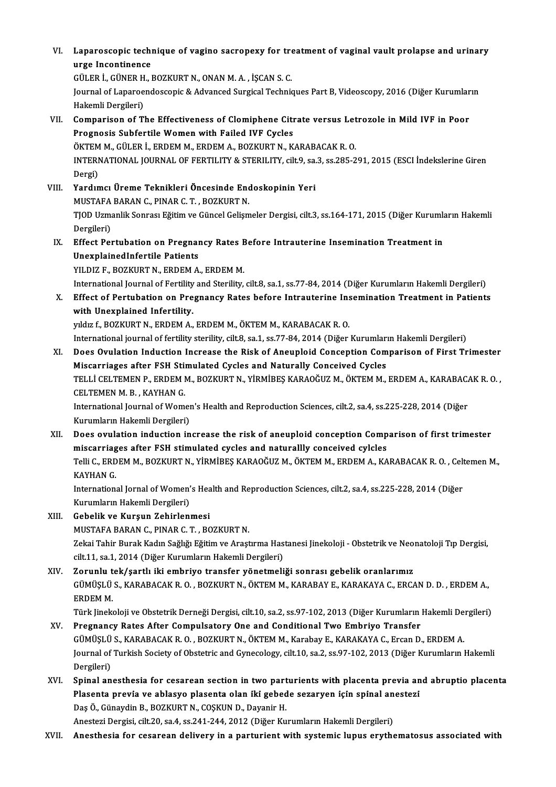VI. Laparoscopic technique of vagino sacropexy for treatment of vaginal vault prolapse and urinary Laparoscopic techi<br>urge Incontinence<br>CÜLEP İ. CÜNEP H Laparoscopic technique of vagino sacropexy for tre<br>urge Incontinence<br>GÜLER İ., GÜNER H., BOZKURT N., ONAN M.A. , İŞCAN S. C.<br>Journal of Laparoandossania & Advanced Surgical Technis

urge Incontinence<br>GÜLER İ., GÜNER H., BOZKURT N., ONAN M. A. , İŞCAN S. C.<br>Journal of Laparoendoscopic & Advanced Surgical Techniques Part B, Videoscopy, 2016 (Diğer Kurumların<br>Hakemli Dergileri) GÜLER İ., GÜNER H<br>Journal of Laparoe<br>Hakemli Dergileri)<br>Comnarison of Tl Journal of Laparoendoscopic & Advanced Surgical Techniques Part B, Videoscopy, 2016 (Diğer Kurumlar<br>Hakemli Dergileri)<br>VII. Comparison of The Effectiveness of Clomiphene Citrate versus Letrozole in Mild IVF in Poor<br>Pregnes

- Hakemli Dergileri)<br>Comparison of The Effectiveness of Clomiphene Citi<br>Prognosis Subfertile Women with Failed IVF Cycles<br>ÖVTEM M. CÜLER İ. ERDEM M. ERDEM A. ROZVURT N. V Comparison of The Effectiveness of Clomiphene Citrate versus Let<br>Prognosis Subfertile Women with Failed IVF Cycles<br>ÖKTEM M., GÜLER İ., ERDEM M., ERDEM A., BOZKURT N., KARABACAK R. O.<br>INTERNATIONAL JOURNAL OF FERTILITY & ST Prognosis Subfertile Women with Failed IVF Cycles<br>ÖKTEM M., GÜLER İ., ERDEM M., ERDEM A., BOZKURT N., KARABACAK R. O.<br>INTERNATIONAL JOURNAL OF FERTILITY & STERILITY, cilt.9, sa.3, ss.285-291, 2015 (ESCI İndekslerine Giren<br> ÖKTEM<br>INTERI<br>Dergi)<br>Vardın INTERNATIONAL JOURNAL OF FERTILITY & STERILITY, cilt.9, sa.<br>Dergi)<br>VIII. Yardımcı Üreme Teknikleri Öncesinde Endoskopinin Yeri
	- Dergi)<br>Yardımcı Üreme Teknikleri Öncesinde Enc<br>MUSTAFA BARAN C., PINAR C. T. , BOZKURT N.<br>TIOD Hamanlik Sanracı Făitim ve Cünaal Caliam Yardımcı Üreme Teknikleri Öncesinde Endoskopinin Yeri<br>MUSTAFA BARAN C., PINAR C. T. , BOZKURT N.<br>TJOD Uzmanlik Sonrası Eğitim ve Güncel Gelişmeler Dergisi, cilt.3, ss.164-171, 2015 (Diğer Kurumların Hakemli<br>Dergileri) MUSTAFA<br>TJOD Uzma<br>Dergileri)<br>Effect Per TJOD Uzmanlik Sonrası Eğitim ve Güncel Gelişmeler Dergisi, cilt.3, ss.164-171, 2015 (Diğer Kurumlar<br>Dergileri)<br>IX. Effect Pertubation on Pregnancy Rates Before Intrauterine Insemination Treatment in
- Dergileri)<br>Effect Pertubation on Pregnai<br>UnexplainedInfertile Patients<br>VU DIZ E. BOZKUPT N. EPDEM A Effect Pertubation on Pregnancy Rates E<br>UnexplainedInfertile Patients<br>YILDIZ F., BOZKURT N., ERDEM A., ERDEM M.<br>International Journal of Fertility and Sterility UnexplainedInfertile Patients<br>1980 - YILDIZ F., BOZKURT N., ERDEM A., ERDEM M.<br>1991- International Journal of Fertility and Sterility, cilt.8, sa.1, ss.77-84, 2014 (Diğer Kurumların Hakemli Dergileri)

YILDIZ F., BOZKURT N., ERDEM A., ERDEM M.<br>International Journal of Fertility and Sterility, cilt.8, sa.1, ss.77-84, 2014 (Diğer Kurumların Hakemli Dergileri)<br>X. Effect of Pertubation on Pregnancy Rates before Intrauterine International Journal of Fertility<br>Effect of Pertubation on Pre<br>with Unexplained Infertility. Effect of Pertubation on Pregnancy Rates before Intrauterine Ins<br>with Unexplained Infertility.<br>yıldız f., BOZKURT N., ERDEM A., ERDEM M., ÖKTEM M., KARABACAK R. O.<br>International journal of fortility storility, silt 8, sa 1

with Unexplained Infertility.<br>1991-yıldız f., BOZKURT N., ERDEM A., ERDEM M., ÖKTEM M., KARABACAK R. O.<br>1991-Yulitarındal journal of fertility sterility, cilt.8, sa.1, ss.77-84, 2014 (Diğer Kurumların Hakemli Dergileri)

yıldız f., BOZKURT N., ERDEM A., ERDEM M., ÖKTEM M., KARABACAK R. O.<br>International journal of fertility sterility, cilt.8, sa.1, ss.77-84, 2014 (Diğer Kurumların Hakemli Dergileri)<br>XI. Does Ovulation Induction Increase the International journal of fertility sterility, cilt.8, sa.1, ss.77-84, 2014 (Diğer Kurumları<br>Does Ovulation Induction Increase the Risk of Aneuploid Conception Com<br>Miscarriages after FSH Stimulated Cycles and Naturally Conc Does Ovulation Induction Increase the Risk of Aneuploid Conception Comparison of First Trimester<br>Miscarriages after FSH Stimulated Cycles and Naturally Conceived Cycles<br>TELLİ CELTEMEN P., ERDEM M., BOZKURT N., YİRMİBEŞ KAR Miscarriages after FSH Stimulated Cycles and Naturally Conceived Cycles<br>TELLI CELTEMEN P., ERDEM M., BOZKURT N., YIRMIBEŞ KARAOĞUZ M., ÖKTEM M.,<br>CELTEMEN M. B. . KAYHAN G. TELLİ CELTEMEN P., ERDEM M., BOZKURT N., YİRMİBEŞ KARAOĞUZ M., ÖKTEM M., ERDEM A., KARABACAK R. O. ,<br>CELTEMEN M. B. , KAYHAN G.<br>International Journal of Women's Health and Reproduction Sciences, cilt.2, sa.4, ss.225-228, 2

International Journal of Women's Health and Reproduction Sciences, cilt.2, sa.4, ss.225-228, 2014 (Diğer International Journal of Women's Health and Reproduction Sciences, cilt.2, sa.4, ss.225-228, 2014 (Diğer<br>Kurumların Hakemli Dergileri)<br>XII. Does ovulation induction increase the risk of aneuploid conception Comparison of f

Kurumların Hakemli Dergileri)<br>Does ovulation induction increase the risk of aneuploid conception Comp<br>miscarriages after FSH stimulated cycles and naturallly conceived cylcles<br>Telli C. ERDEM M. ROZKURT N. VIRMIRES KARAQČUZ Does ovulation induction increase the risk of aneuploid conception Comparison of first trimester<br>miscarriages after FSH stimulated cycles and naturallly conceived cylcles<br>Telli C., ERDEM M., BOZKURT N., YİRMİBEŞ KARAOĞUZ M

miscarriag<br>Telli C., ERD<br>KAYHAN G.<br>Internation Telli C., ERDEM M., BOZKURT N., YİRMİBEŞ KARAOĞUZ M., ÖKTEM M., ERDEM A., KARABACAK R. O. , Celt<br>KAYHAN G.<br>International Jornal of Women's Health and Reproduction Sciences, cilt.2, sa.4, ss.225-228, 2014 (Diğer<br>Kurumların

KAYHAN G.<br>International Jornal of Women's Health and Reproduction Sciences, cilt.2, sa.4, ss.225-228, 2014 (Diğer<br>Kurumların Hakemli Dergileri)

XIII. Gebelik ve Kurşun Zehirlenmesi

MUSTAFA BARAN C., PINAR C. T., BOZKURT N.

Zekai Tahir Burak Kadın Sağlığı Eğitim ve Araştırma Hastanesi Jinekoloji - Obstetrik ve Neonatoloji Tıp Dergisi, cilt.11, sa.1, 2014 (Diğer Kurumların Hakemli Dergileri) Zekai Tahir Burak Kadın Sağlığı Eğitim ve Araştırma Hastanesi Jinekoloji - Obstetrik ve Neo<br>cilt.11, sa.1, 2014 (Diğer Kurumların Hakemli Dergileri)<br>XIV. Zorunlu tek/şartlı iki embriyo transfer yönetmeliği sonrası gebelik

GÜMÜŞLÜ S., KARABACAK R. O. , BOZKURT N., ÖKTEM M., KARABAY E., KARAKAYA C., ERCAN D. D. , ERDEM A.,<br>ERDEM M. <mark>Zorunlu t</mark><br>GÜMÜŞLÜ<br>ERDEM M.<br>Türk linek GÜMÜŞLÜ S., KARABACAK R. O. , BOZKURT N., ÖKTEM M., KARABAY E., KARAKAYA C., ERCAN D. D. , ERDEM A.,<br>ERDEM M.<br>Türk Jinekoloji ve Obstetrik Derneği Dergisi, cilt.10, sa.2, ss.97-102, 2013 (Diğer Kurumların Hakemli Dergileri

- ERDEM M.<br>Türk Jinekoloji ve Obstetrik Derneği Dergisi, cilt.10, sa.2, ss.97-102, 2013 (Diğer Kurumların .<br>XV. Pregnancy Rates After Compulsatory One and Conditional Two Embriyo Transfer<br>Cümüst ü.s. KARARACAK R.O., BOZKURT Türk Jinekoloji ve Obstetrik Derneği Dergisi, cilt.10, sa.2, ss.97-102, 2013 (Diğer Kurumların Hakemli De<br>Pregnancy Rates After Compulsatory One and Conditional Two Embriyo Transfer<br>GÜMÜŞLÜ S., KARABACAK R. O. , BOZKURT N. XV. Pregnancy Rates After Compulsatory One and Conditional Two Embriyo Transfer<br>GÜMÜŞLÜ S., KARABACAK R. O. , BOZKURT N., ÖKTEM M., Karabay E., KARAKAYA C., Ercan D., ERDEM A.<br>Journal of Turkish Society of Obstetric and Gy GÜMÜSLÜ S., KARABACAK R. O., BOZKURT N., ÖKTEM M., Karabay E., KARAKAYA C., Ercan D., ERDEM A.
- XVI. Spinal anesthesia for cesarean section in two parturients with placenta previa and abruptio placenta Dergileri)<br>Spinal anesthesia for cesarean section in two parturients with placenta previa an<br>Plasenta previa ve ablasyo plasenta olan iki gebede sezaryen için spinal anestezi<br>Pes Ö. Günavdin B. BOZKUPT N. COSKUN D. Davanin Spinal anesthesia for cesarean section in two part<br>Plasenta previa ve ablasyo plasenta olan iki gebed<br>Daş Ö., Günaydin B., BOZKURT N., COŞKUN D., Dayanir H.<br>Anesteri Dergisi silt 20.53 4.53 244.2042 (Dižer Ku Plasenta previa ve ablasyo plasenta olan iki gebede sezaryen için spinal an<br>Daş Ö., Günaydin B., BOZKURT N., COŞKUN D., Dayanir H.<br>Anestezi Dergisi, cilt.20, sa.4, ss.241-244, 2012 (Diğer Kurumların Hakemli Dergileri)<br>Anes Daş Ö., Günaydin B., BOZKURT N., COŞKUN D., Dayanir H.<br>Anestezi Dergisi, cilt.20, sa.4, ss.241-244, 2012 (Diğer Kurumların Hakemli Dergileri)<br>XVII. Anesthesia for cesarean delivery in a parturient with systemic lupus e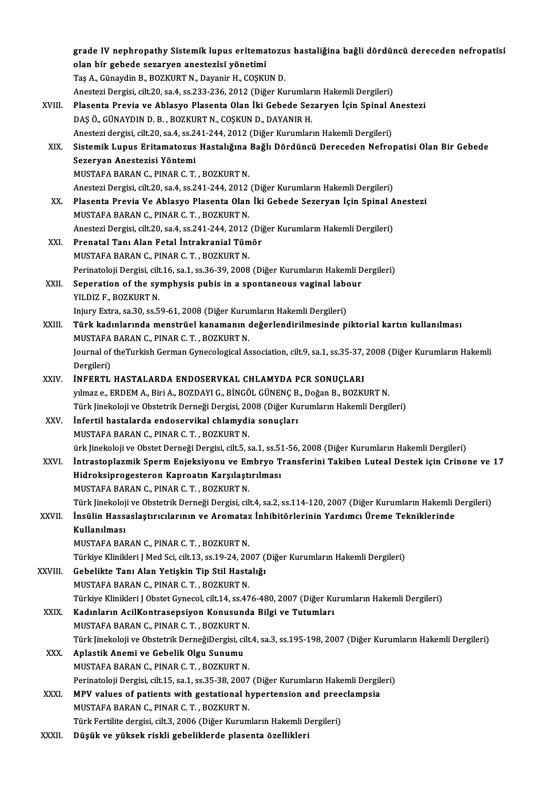|         | grade IV nephropathy Sistemik lupus eritematozus hastaliğina bağli dördüncü dereceden nefropatisi<br>olan bir gebede sezaryen anestezisi yönetimi |
|---------|---------------------------------------------------------------------------------------------------------------------------------------------------|
|         | Taş A., Günaydin B., BOZKURT N., Dayanir H., COŞKUN D.                                                                                            |
|         | Anestezi Dergisi, cilt.20, sa.4, ss.233-236, 2012 (Diğer Kurumların Hakemli Dergileri)                                                            |
| XVIII.  | Plasenta Previa ve Ablasyo Plasenta Olan İki Gebede Sezaryen İçin Spinal Anestezi                                                                 |
|         | DAŞ Ö., GÜNAYDIN D. B., BOZKURT N., COŞKUN D., DAYANIR H.                                                                                         |
|         | Anestezi dergisi, cilt.20, sa.4, ss.241-244, 2012 (Diğer Kurumların Hakemli Dergileri)                                                            |
| XIX.    | Sistemik Lupus Eritamatozus Hastalığına Bağlı Dördüncü Dereceden Nefropatisi Olan Bir Gebede                                                      |
|         | Sezeryan Anestezisi Yöntemi                                                                                                                       |
|         | MUSTAFA BARAN C., PINAR C. T., BOZKURT N.                                                                                                         |
|         | Anestezi Dergisi, cilt.20, sa.4, ss.241-244, 2012 (Diğer Kurumların Hakemli Dergileri)                                                            |
| XX      | Plasenta Previa Ve Ablasyo Plasenta Olan İki Gebede Sezeryan İçin Spinal Anestezi                                                                 |
|         | MUSTAFA BARAN C., PINAR C. T., BOZKURT N.                                                                                                         |
|         | Anestezi Dergisi, cilt.20, sa.4, ss.241-244, 2012 (Diğer Kurumların Hakemli Dergileri)                                                            |
| XXI.    | Prenatal Tanı Alan Fetal İntrakranial Tümör                                                                                                       |
|         | MUSTAFA BARAN C., PINAR C. T., BOZKURT N.                                                                                                         |
|         | Perinatoloji Dergisi, cilt.16, sa.1, ss.36-39, 2008 (Diğer Kurumların Hakemli Dergileri)                                                          |
| XXII.   | Seperation of the symphysis pubis in a spontaneous vaginal labour                                                                                 |
|         | YILDIZ F., BOZKURT N.                                                                                                                             |
|         | Injury Extra, sa.30, ss.59-61, 2008 (Diğer Kurumların Hakemli Dergileri)                                                                          |
| XXIII.  | Türk kadınlarında menstrüel kanamanın değerlendirilmesinde piktorial kartın kullanılması                                                          |
|         | MUSTAFA BARAN C., PINAR C. T., BOZKURT N.                                                                                                         |
|         | Journal of theTurkish German Gynecological Association, cilt.9, sa.1, ss.35-37, 2008 (Diğer Kurumların Hakemli                                    |
|         | Dergileri)                                                                                                                                        |
| XXIV    | <b>İNFERTL HASTALARDA ENDOSERVKAL CHLAMYDA PCR SONUÇLARI</b>                                                                                      |
|         | yılmaz e., ERDEM A., Biri A., BOZDAYI G., BİNGÖL GÜNENÇ B., Doğan B., BOZKURT N.                                                                  |
|         | Türk Jinekoloji ve Obstetrik Derneği Dergisi, 2008 (Diğer Kurumların Hakemli Dergileri)                                                           |
| XXV.    | İnfertil hastalarda endoservikal chlamydia sonuçları                                                                                              |
|         | MUSTAFA BARAN C., PINAR C. T., BOZKURT N.                                                                                                         |
|         | ürk Jinekoloji ve Obstet Derneği Dergisi, cilt.5, sa.1, ss.51-56, 2008 (Diğer Kurumların Hakemli Dergileri)                                       |
| XXVI.   | İntrastoplazmik Sperm Enjeksiyonu ve Embryo Transferini Takiben Luteal Destek için Crinone ve 17                                                  |
|         | Hidroksiprogesteron Kaproatın Karşılaştırılması                                                                                                   |
|         | MUSTAFA BARAN C., PINAR C. T., BOZKURT N.                                                                                                         |
|         | Türk Jinekoloji ve Obstetrik Derneği Dergisi, cilt.4, sa.2, ss.114-120, 2007 (Diğer Kurumların Hakemli Dergileri)                                 |
| XXVII.  | İnsülin Hassaslaştırıcılarının ve Aromataz İnhibitörlerinin Yardımcı Üreme Tekniklerinde                                                          |
|         | Kullanılması                                                                                                                                      |
|         | MUSTAFA BARAN C., PINAR C. T., BOZKURT N.                                                                                                         |
|         | Türkiye Klinikleri J Med Sci, cilt.13, ss.19-24, 2007 (Diğer Kurumların Hakemli Dergileri)                                                        |
| XXVIII. | Gebelikte Tanı Alan Yetişkin Tip Stil Hastalığı                                                                                                   |
|         | MUSTAFA BARAN C., PINAR C. T., BOZKURT N.                                                                                                         |
|         | Türkiye Klinikleri J Obstet Gynecol, cilt.14, ss.476-480, 2007 (Diğer Kurumların Hakemli Dergileri)                                               |
| XXIX.   | Kadınların AcilKontrasepsiyon Konusunda Bilgi ve Tutumları                                                                                        |
|         | MUSTAFA BARAN C., PINAR C. T., BOZKURT N.                                                                                                         |
|         | Türk Jinekoloji ve Obstetrik DerneğiDergisi, cilt.4, sa.3, ss.195-198, 2007 (Diğer Kurumların Hakemli Dergileri)                                  |
| XXX.    | Aplastik Anemi ve Gebelik Olgu Sunumu                                                                                                             |
|         | MUSTAFA BARAN C., PINAR C. T., BOZKURT N.                                                                                                         |
|         | Perinatoloji Dergisi, cilt.15, sa.1, ss.35-38, 2007 (Diğer Kurumların Hakemli Dergileri)                                                          |
| XXXI.   | MPV values of patients with gestational hypertension and preeclampsia                                                                             |
|         | MUSTAFA BARAN C., PINAR C. T., BOZKURT N.                                                                                                         |
|         | Türk Fertilite dergisi, cilt.3, 2006 (Diğer Kurumların Hakemli Dergileri)                                                                         |
| XXXII.  | Düşük ve yüksek riskli gebeliklerde plasenta özellikleri                                                                                          |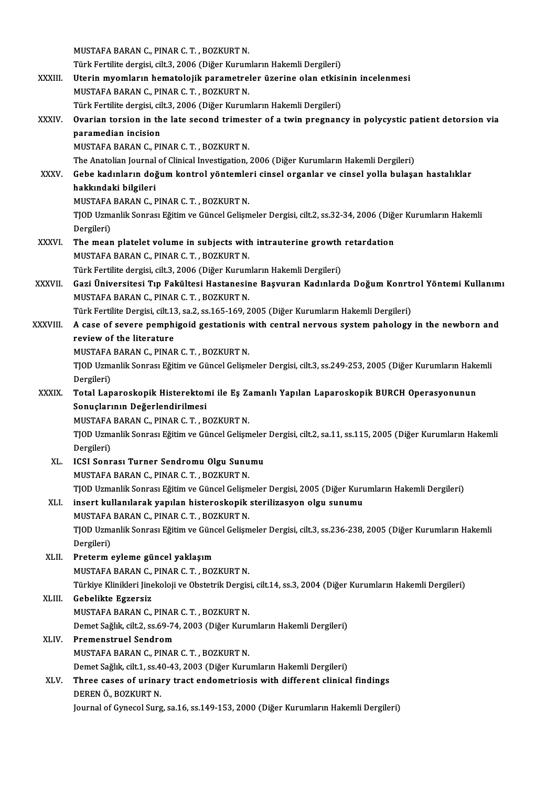|              | MUSTAFA BARAN C., PINAR C. T., BOZKURT N.                                                                              |
|--------------|------------------------------------------------------------------------------------------------------------------------|
|              | Türk Fertilite dergisi, cilt.3, 2006 (Diğer Kurumların Hakemli Dergileri)                                              |
| XXXIII.      | Uterin myomların hematolojik parametreler üzerine olan etkisinin incelenmesi                                           |
|              | MUSTAFA BARAN C., PINAR C. T., BOZKURT N.                                                                              |
|              | Türk Fertilite dergisi, cilt.3, 2006 (Diğer Kurumların Hakemli Dergileri)                                              |
| XXXIV.       | Ovarian torsion in the late second trimester of a twin pregnancy in polycystic patient detorsion via                   |
|              | paramedian incision                                                                                                    |
|              | MUSTAFA BARAN C., PINAR C. T., BOZKURT N.                                                                              |
|              | The Anatolian Journal of Clinical Investigation, 2006 (Diğer Kurumların Hakemli Dergileri)                             |
| <b>XXXV</b>  | Gebe kadınların doğum kontrol yöntemleri cinsel organlar ve cinsel yolla bulaşan hastalıklar                           |
|              | hakkındaki bilgileri                                                                                                   |
|              | MUSTAFA BARAN C., PINAR C. T., BOZKURT N.                                                                              |
|              | TJOD Uzmanlik Sonrası Eğitim ve Güncel Gelişmeler Dergisi, cilt.2, ss.32-34, 2006 (Diğer Kurumların Hakemli            |
|              | Dergileri)                                                                                                             |
| <b>XXXVI</b> | The mean platelet volume in subjects with intrauterine growth retardation<br>MUSTAFA BARAN C., PINAR C. T., BOZKURT N. |
|              | Türk Fertilite dergisi, cilt.3, 2006 (Diğer Kurumların Hakemli Dergileri)                                              |
| XXXVII.      | Gazi Üniversitesi Tıp Fakültesi Hastanesine Başvuran Kadınlarda Doğum Konrtrol Yöntemi Kullanımı                       |
|              | MUSTAFA BARAN C., PINAR C. T., BOZKURT N.                                                                              |
|              | Türk Fertilite Dergisi, cilt.13, sa.2, ss.165-169, 2005 (Diğer Kurumların Hakemli Dergileri)                           |
| XXXVIII.     | A case of severe pemphigoid gestationis with central nervous system pahology in the newborn and                        |
|              | review of the literature                                                                                               |
|              | MUSTAFA BARAN C., PINAR C. T., BOZKURT N.                                                                              |
|              | TJOD Uzmanlik Sonrası Eğitim ve Güncel Gelişmeler Dergisi, cilt.3, ss.249-253, 2005 (Diğer Kurumların Hakemli          |
|              | Dergileri)                                                                                                             |
| <b>XXXIX</b> | Total Laparoskopik Histerektomi ile Eş Zamanlı Yapılan Laparoskopik BURCH Operasyonunun                                |
|              | Sonuçlarının Değerlendirilmesi                                                                                         |
|              | MUSTAFA BARAN C., PINAR C. T., BOZKURT N.                                                                              |
|              | TJOD Uzmanlik Sonrası Eğitim ve Güncel Gelişmeler Dergisi, cilt.2, sa.11, ss.115, 2005 (Diğer Kurumların Hakemli       |
|              | Dergileri)                                                                                                             |
| XL.          | ICSI Sonrası Turner Sendromu Olgu Sunumu                                                                               |
|              | MUSTAFA BARAN C., PINAR C. T., BOZKURT N.                                                                              |
|              | TJOD Uzmanlik Sonrası Eğitim ve Güncel Gelişmeler Dergisi, 2005 (Diğer Kurumların Hakemli Dergileri)                   |
| XLI.         | insert kullanılarak yapılan histeroskopik sterilizasyon olgu sunumu                                                    |
|              | MUSTAFA BARAN C., PINAR C. T., BOZKURT N.                                                                              |
|              | TJOD Uzmanlik Sonrası Eğitim ve Güncel Gelişmeler Dergisi, cilt.3, ss.236-238, 2005 (Diğer Kurumların Hakemli          |
|              | Dergileri)                                                                                                             |
| XLII.        | Preterm eyleme güncel yaklaşım                                                                                         |
|              | MUSTAFA BARAN C., PINAR C. T., BOZKURT N.                                                                              |
|              | Türkiye Klinikleri Jinekoloji ve Obstetrik Dergisi, cilt.14, ss.3, 2004 (Diğer Kurumların Hakemli Dergileri)           |
| XLIII.       | Gebelikte Egzersiz                                                                                                     |
|              | MUSTAFA BARAN C., PINAR C. T., BOZKURT N.                                                                              |
|              | Demet Sağlık, cilt.2, ss.69-74, 2003 (Diğer Kurumların Hakemli Dergileri)                                              |
| XLIV.        | <b>Premenstruel Sendrom</b>                                                                                            |
|              | MUSTAFA BARAN C., PINAR C. T., BOZKURT N.                                                                              |
|              | Demet Sağlık, cilt.1, ss.40-43, 2003 (Diğer Kurumların Hakemli Dergileri)                                              |
| XLV.         | Three cases of urinary tract endometriosis with different clinical findings                                            |
|              | DEREN Ö., BOZKURT N.                                                                                                   |
|              | Journal of Gynecol Surg, sa.16, ss.149-153, 2000 (Diğer Kurumların Hakemli Dergileri)                                  |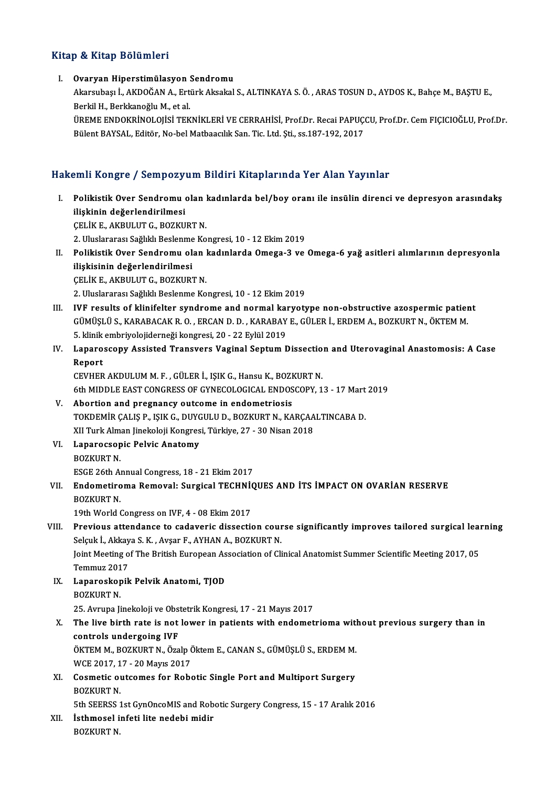## Kitap & Kitap Bölümleri

#### I. Ovaryan Hiperstimülasyon Sendromu

p & IIIdip Boldinioli<br>Ovaryan Hiperstimülasyon Sendromu<br>Akarsubaşı İ., AKDOĞAN A., Ertürk Aksakal S., ALTINKAYA S. Ö. , ARAS TOSUN D., AYDOS K., Bahçe M., BAŞTU E., Ovaryan Hiperstimülasyon :<br>Akarsubaşı İ., AKDOĞAN A., Ert<br>Berkil H., Berkkanoğlu M., et al.<br>ÜPEME ENDOKRİNOLOUSİ TEK Akarsubaşı İ., AKDOĞAN A., Ertürk Aksakal S., ALTINKAYA S. Ö. , ARAS TOSUN D., AYDOS K., Bahçe M., BAŞTU E.,<br>Berkil H., Berkkanoğlu M., et al.<br>ÜREME ENDOKRİNOLOJİSİ TEKNİKLERİ VE CERRAHİSİ, Prof.Dr. Recai PAPUÇCU, Prof.Dr.

Berkil H., Berkkanoğlu M., et al.<br>ÜREME ENDOKRİNOLOJİSİ TEKNİKLERİ VE CERRAHİSİ, Prof.Dr. Recai PAPUÇCU, Prof.Dr. Cem FIÇICIOĞLU, Prof.Dr.<br>Bülent BAYSAL, Editör, No-bel Matbaacılık San. Tic. Ltd. Şti., ss.187-192, 2017

## Hakemli Kongre / Sempozyum Bildiri Kitaplarında Yer Alan Yayınlar

akemli Kongre / Sempozyum Bildiri Kitaplarında Yer Alan Yayınlar<br>I. Polikistik Over Sendromu olan kadınlarda bel/boy oranı ile insülin direnci ve depresyon arasındakş<br>İlişkinin dağarlandirilmesi ilistik Over Sendromu<br>Polikistik Over Sendromu<br>ilişkinin değerlendirilmesi<br>CELİK E. AKBULLIT G. BOZKU Polikistik Over Sendromu olan l<br>ilişkinin değerlendirilmesi<br>ÇELİK E., AKBULUT G., BOZKURT N.<br>2. Uluslararası Sağlıklı Boslanma Ko ilişkinin değerlendirilmesi<br>ÇELİK E., AKBULUT G., BOZKURT N.<br>2. Uluslararası Sağlıklı Beslenme Kongresi, 10 - 12 Ekim 2019

ÇELİK E., AKBULUT G., BOZKURT N.<br>2. Uluslararası Sağlıklı Beslenme Kongresi, 10 - 12 Ekim 2019<br>II. Polikistik Over Sendromu olan kadınlarda Omega-3 ve Omega-6 yağ asitleri alımlarının depresyonla<br>İliskisinin değerlendi 2. Uluslararası Sağlıklı Beslenme<br>Polikistik Over Sendromu ol<br>ilişkisinin değerlendirilmesi<br>CELİK E. AKRULUTC BOZKUP ilişkisinin değerlendirilmesi<br>ÇELİK E., AKBULUT G., BOZKURT N.

2. Uluslararası Sağlıklı Beslenme Kongresi, 10 - 12 Ekim 2019

- III. IVF results of klinifelter syndrome and normal karyotype non-obstructive azospermic patient GÜMÜŞLÜS.,KARABACAKR.O. ,ERCAND.D. ,KARABAYE.,GÜLERİ.,ERDEMA.,BOZKURTN.,ÖKTEMM. IVF results of klinifelter syndrome and normal kanglikongresi, 20 - 22 Eylül 2019<br>5. klinik embriyolojiderneği kongresi, 20 - 22 Eylül 2019<br>5. klinik embriyolojiderneği kongresi, 20 - 22 Eylül 2019
- IV. Laparoscopy Assisted Transvers Vaginal Septum Dissection and Uterovaginal Anastomosis: A Case<br>Report 5. klinik<br>Laparo<br>Report<br>CEVUEP

CEVHER AKDULUM M.F., GÜLER İ., IŞIK G., Hansu K., BOZKURT N. Report<br>CEVHER AKDULUM M. F. , GÜLER İ., IŞIK G., Hansu K., BOZKURT N.<br>6th MIDDLE EAST CONGRESS OF GYNECOLOGICAL ENDOSCOPY, 13 - 17 Mart 2019<br>Abortion and pregnangy autreme in andemetriesis.

- V. Abortion and pregnancy outcome in endometriosis 6th MIDDLE EAST CONGRESS OF GYNECOLOGICAL ENDOSCOPY, 13 - 17 Mart<br>Abortion and pregnancy outcome in endometriosis<br>TOKDEMİR ÇALIŞ P., IŞIK G., DUYGULU D., BOZKURT N., KARÇAALTINCABA D.<br>YU Turk Alman linekeleji Kongresi Türk TOKDEMİR ÇALIŞ P., IŞIK G., DUYGULU D., BOZKURT N., KARÇAALTINCABA D.<br>XII Turk Alman Jinekoloji Kongresi, Türkiye, 27 - 30 Nisan 2018 TOKDEMİR ÇALIŞ P., IŞIK G., DUYC<br>XII Turk Alman Jinekoloji Kongres<br>VI. Laparocsopic Pelvic Anatomy<br>POZKUPT N
- XII Turk Alm<br><mark>Laparocsop</mark><br>BOZKURT N.<br>ESCE 26th Al BOZKURT N.<br>ESGE 26th Annual Congress, 18 - 21 Ekim 2017
- BOZKURT N.<br>ESGE 26th Annual Congress, 18 21 Ekim 2017<br>VII. Endometiroma Removal: Surgical TECHNİQUES AND İTS İMPACT ON OVARİAN RESERVE<br>POZKURT N ESGE 26th Al<br>**Endometiro**<br>BOZKURT N.<br>19th World ( Endometiroma Removal: Surgical TECHNI<br>19th World Congress on IVF, 4 - 08 Ekim 2017<br>Previews attendance to cadavorie diseasti

## BOZKURT N.<br>19th World Congress on IVF, 4 - 08 Ekim 2017<br>VIII. Previous attendance to cadaveric dissection course significantly improves tailored surgical learning<br>Selevit Altieve S.K., Avear E. AVHAN A. POZKUPT N 19th World Congress on IVF, 4 - 08 Ekim 2017<br>Previous attendance to cadaveric dissection cour<br>Selçuk İ., Akkaya S. K. , Avşar F., AYHAN A., BOZKURT N.<br>Joint Mesting of The Pritish European Association of Cli Previous attendance to cadaveric dissection course significantly improves tailored surgical lear<br>Selçuk İ., Akkaya S. K. , Avşar F., AYHAN A., BOZKURT N.<br>Joint Meeting of The British European Association of Clinical Anatom

Selçuk İ., Akkaya S. K. , Avşar F., AYHAN A., BOZKURT N.<br>Joint Meeting of The British European Association of Clinical Anatomist Summer Scientific Meeting 2017, 05 Temmuz 2017

- IX. Laparoskopik Pelvik Anatomi, TJOD Laparoskopik Pelvik Anatomi, TJOD<br>BOZKURT N.<br>25. Avrupa Jinekoloji ve Obstetrik Kongresi, 17 - 21 Mayıs 2017<br>The live binth nate is net lewen in nationte with endemet
- BOZKURT N.<br>25. Avrupa Jinekoloji ve Obstetrik Kongresi, 17 21 Mayıs 2017<br>X. The live birth rate is not lower in patients with endometrioma without previous surgery than in<br>controls undergoing IVF 25. Avrupa Jinekoloji ve Obs<br>The live birth rate is not<br>controls undergoing IVF<br>ÖVTEM M. POZVURT N. ÖZR The live birth rate is not lower in patients with endometrioma with<br>controls undergoing IVF<br>ÖKTEM M., BOZKURT N., Özalp Öktem E., CANAN S., GÜMÜŞLÜ S., ERDEM M.<br>WCE 2017-17 - 20 Mayıs 2017 controls undergoing IVF<br>ÖKTEM M., BOZKURT N., Özalp (<br>WCE 2017, 17 - 20 Mayıs 2017<br>Cosmatis eutermes for Bobe

ÖKTEM M., BOZKURT N., Özalp Öktem E., CANAN S., GÜMÜŞLÜ S., ERDEM M.<br>WCE 2017, 17 - 20 Mayıs 2017<br>XI. Cosmetic outcomes for Robotic Single Port and Multiport Surgery<br>POZKUPT N WCE 2017, 17 - 20 Mayıs 2017<br>XI. Cosmetic outcomes for Robotic Single Port and Multiport Surgery<br>BOZKURT N. Cosmetic outcomes for Robotic Single Port and Multiport Surgery<br>BOZKURT N.<br>5th SEERSS 1st GynOncoMIS and Robotic Surgery Congress, 15 - 17 Aralık 2016<br>İsthmasal infati lita nadabi midir

BOZKURT N.<br>5th SEERSS 1st GynOncoMIS and Rob<br>XII. İsthmosel infeti lite nedebi midir<br>POZKURT N 5th SEERSS :<br><mark>İsthmosel i</mark><br>BOZKURT N.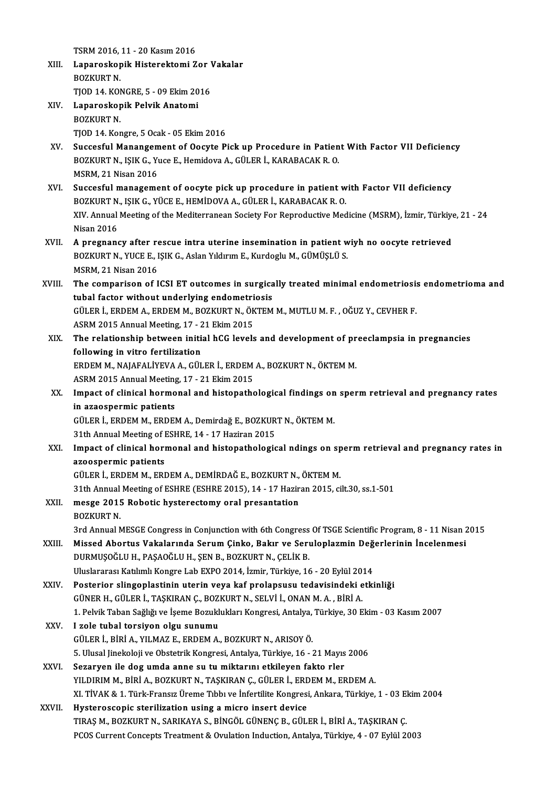TSRM2016,11 -20Kasım2016

- TSRM 2016, 11 20 Kasım 2016<br>XIII. Laparoskopik Histerektomi Zor Vakalar<br>ROZKUPT N TSRM 2016,<br>Laparoskop<br>BOZKURT N.<br>TIOD 14, KO! Laparoskopik Histerektomi Zor <mark>\</mark><br>BOZKURT N.<br>TJOD 14. KONGRE, 5 - 09 Ekim 2016<br>Laparoskopik Bolvik Anstomi BOZKURT N.<br>TJOD 14. KONGRE, 5 - 09 Ekim 20<br>XIV. Laparoskopik Pelvik Anatomi<br>POZKUPT N
- TJOD 14. KOM<br>Laparoskop<br>BOZKURT N.<br>TIOD 14. Kor BOZKURT N.<br>TJOD 14. Kongre, 5 Ocak - 05 Ekim 2016
- BOZKURT N.<br>TJOD 14. Kongre, 5 Ocak 05 Ekim 2016<br>XV. Succesful Manangement of Oocyte Pick up Procedure in Patient With Factor VII Deficiency<br>ROZKURT N. ISIK C. Xuce E. Homidova A. CÜLER İ. KARARACAK R. O. TJOD 14. Kongre, 5 Ocak - 05 Ekim 2016<br>Succesful Manangement of Oocyte Pick up Procedure in Patien<br>BOZKURT N., IŞIK G., Yuce E., Hemidova A., GÜLER İ., KARABACAK R. O.<br>MSPM 21 Nisan 2016 BOZKURT N., IŞIK G., Yuce E., Hemidova A., GÜLER İ., KARABACAK R. O.<br>MSRM, 21 Nisan 2016 BOZKURT N., IŞIK G., Yuce E., Hemidova A., GÜLER İ., KARABACAK R. O.<br>MSRM, 21 Nisan 2016<br>XVI. Succesful management of oocyte pick up procedure in patient with Factor VII deficiency<br>ROZKURT N. ISIK G. VÜCE E. HEMIDOVA A. GÜ
- MSRM, 21 Nisan 2016<br>Succesful management of oocyte pick up procedure in patient w<br>BOZKURT N., IŞIK G., YÜCE E., HEMİDOVA A., GÜLER İ., KARABACAK R. O.<br>YIV. Annual Meeting of the Mediterranean Society For Bonreductive Med Succesful management of oocyte pick up procedure in patient with Factor VII deficiency<br>BOZKURT N., IŞIK G., YÜCE E., HEMİDOVA A., GÜLER İ., KARABACAK R. O.<br>XIV. Annual Meeting of the Mediterranean Society For Reproductive BOZKURT N.<br>XIV. Annual<br>Nisan 2016<br>A program
- Nisan 2016<br>XVII. A pregnancy after rescue intra uterine insemination in patient wiyh no oocyte retrieved Nisan 2016<br>A pregnancy after rescue intra uterine insemination in patient w<br>BOZKURT N., YUCE E., IŞIK G., Aslan Yıldırım E., Kurdoglu M., GÜMÜŞLÜ S.<br>MSPM 21 Nisan 2016 A pregnancy after re<br>BOZKURT N., YUCE E., I<br>MSRM, 21 Nisan 2016<br>The comporison of I BOZKURT N., YUCE E., IŞIK G., Aslan Yıldırım E., Kurdoglu M., GÜMÜŞLÜ S.<br>MSRM, 21 Nisan 2016<br>XVIII. The comparison of ICSI ET outcomes in surgically treated minimal endometriosis endometrioma and<br>tubel factor without u
- MSRM, 21 Nisan 2016<br>The comparison of ICSI ET outcomes in surgica<br>tubal factor without underlying endometriosis<br>C<sup>iu en i.</sup> EPDEM A. EPDEM M. POZKUPT N. ÖKTEM The comparison of ICSI ET outcomes in surgically treated minimal endometriosis<br>tubal factor without underlying endometriosis<br>GÜLER İ., ERDEM A., ERDEM M., BOZKURT N., ÖKTEM M., MUTLU M. F. , OĞUZ Y., CEVHER F.<br>ASPM 2015 An tubal factor without underlying endometriosis<br>GÜLER İ., ERDEM A., ERDEM M., BOZKURT N., ÖKTEM M., MUTLU M. F. , OĞUZ Y., CEVHER F. ASRM 2015 Annual Meeting, 17 - 21 Ekim 2015
- XIX. The relationship between initial hCG levels and development of preeclampsia in pregnancies The relationship between initial hCG levels and development of pr<br>following in vitro fertilization<br>ERDEM M., NAJAFALİYEVA A., GÜLER İ., ERDEM A., BOZKURT N., ÖKTEM M.<br>ASPM 2015 Annual Meeting 17 - 21 Ekim 2015 following in vitro fertilization<br>ERDEM M., NAJAFALIYEVA A., GÜLER İ., ERDEM<br>ASRM 2015 Annual Meeting, 17 - 21 Ekim 2015<br>Imnast of slinisal harmanal and histanathe ERDEM M., NAJAFALİYEVA A., GÜLER İ., ERDEM A., BOZKURT N., ÖKTEM M.<br>ASRM 2015 Annual Meeting, 17 - 21 Ekim 2015<br>XX. Impact of clinical hormonal and histopathological findings on sperm retrieval and pregnancy rates<br>in azaos
- ASRM 2015 Annual Meeting, 17 21 Ekim 2015<br>Impact of clinical hormonal and histopathological findings on<br>in azaospermic patients<br>GÜLER İ., ERDEM M., ERDEM A., Demirdağ E., BOZKURT N., ÖKTEM M. Impact of clinical hormonal and histopathological findings on<br>in azaospermic patients<br>GÜLER İ., ERDEM M., ERDEM A., Demirdağ E., BOZKURT N., ÖKTEM M.<br>21th Annual Meeting of ESUPE 14, 17 Heginan 2015

in azaospermic patients<br>GÜLER İ., ERDEM M., ERDEM A., Demirdağ E., BOZKUR<br>31th Annual Meeting of ESHRE, 14 - 17 Haziran 2015<br>Impact of elinical bermanal and bistanatbelegis

XXI. Impact of clinical hormonal and histopathological ndings on spermretrieval and pregnancy rates in 31th Annual Meeting of I<br>Impact of clinical hori<br>azoospermic patients<br>CÜLER LEPDEM M\_ERI azoospermic patients<br>GÜLER İ., ERDEM M., ERDEM A., DEMİRDAĞ E., BOZKURT N., ÖKTEM M.<br>31th Annual Meeting of ESHRE (ESHRE 2015), 14 - 17 Haziran 2015, cilt.30, ss.1-501<br>messe 2015 Pobotis bystenestemy oral presentation

GÜLERİ.,ERDEMM.,ERDEMA.,DEMİRDAĞE.,BOZKURTN.,ÖKTEMM.

## GÜLER İ., ERDEM M., ERDEM A., DEMİRDAĞ E., BOZKURT N.,<br>31th Annual Meeting of ESHRE (ESHRE 2015), 14 - 17 Hazir<br>XXII. mesge 2015 Robotic hysterectomy oral presantation<br>BOZKUPT N 31th Annual<br>mesge 2015<br>BOZKURT N. 30 XXII. mesge 2015 Robotic hysterectomy oral presantation<br>BOZKURT N.<br>3rd Annual MESGE Congress in Conjunction with 6th Congress Of TSGE Scientific Program, 8 - 11 Nisan 2015

BOZKURT N.<br>3rd Annual MESGE Congress in Conjunction with 6th Congress Of TSGE Scientific Program, 8 - 11 Nisan 2<br>XXIII. Missed Abortus Vakalarında Serum Çinko, Bakır ve Seruloplazmin Değerlerinin İncelenmesi DURMUŞOĞLU H., PAŞAOĞLU H., ŞEN B., BOZKURT N., ÇELİK B. Missed Abortus Vakalarında Serum Çinko, Bakır ve Seruloplazmin Değ<br>DURMUŞOĞLU H., PAŞAOĞLU H., ŞEN B., BOZKURT N., ÇELİK B.<br>Uluslararası Katılımlı Kongre Lab EXPO 2014, İzmir, Türkiye, 16 - 20 Eylül 2014<br>Postariar slinganl Vluslararası Katılımlı Kongre Lab EXPO 2014, İzmir, Türkiye, 16 - 20 Eylül 2014<br>XXIV. Posterior slingoplastinin uterin veya kaf prolapsusu tedavisindeki etkinliği GÜNERH.,GÜLERİ.,TAŞKIRANÇ.,BOZKURTN.,SELVİ İ.,ONANM.A. ,BİRİA. Posterior slingoplastinin uterin veya kaf prolapsusu tedavisindeki etkinliği<br>GÜNER H., GÜLER İ., TAŞKIRAN Ç., BOZKURT N., SELVİ İ., ONAN M. A. , BİRİ A.<br>1. Pelvik Taban Sağlığı ve İşeme Bozuklukları Kongresi, Antalya, Türk

- 
- XXV. I zole tubal torsiyon olgu sunumu 1. Pelvik Taban Sağlığı ve İşeme Bozuklukları Kongresi, Antalya,<br>I zole tubal torsiyon olgu sunumu<br>GÜLER İ., BİRİ A., YILMAZ E., ERDEM A., BOZKURT N., ARISOY Ö.<br>5. Ulucal linakalaji ve Obstatrik Kongresi, Antalya Türkiye,
	- 5. Ulusal Jinekoloji ve Obstetrik Kongresi, Antalya, Türkiye, 16 21 Mayıs 2006
- XXVI. Sezaryen ile dog umda anne su tu miktarını etkileyen fakto rler YILDIRIM M., BİRİ A., BOZKURT N., TAŞKIRAN Ç., GÜLER İ., ERDEM M., ERDEM A. Sezaryen ile dog umda anne su tu miktarını etkileyen fakto rler<br>YILDIRIM M., BİRİ A., BOZKURT N., TAŞKIRAN Ç., GÜLER İ., ERDEM M., ERDEM A.<br>XI. TİVAK & 1. Türk-Fransız Üreme Tıbbı ve İnfertilite Kongresi, Ankara, Türkiye, YILDIRIM M., BİRİ A., BOZKURT N., TAŞKIRAN Ç., GÜLER İ., ERD<br>XI. TİVAK & 1. Türk-Fransız Üreme Tıbbı ve İnfertilite Kongresi<br>XXVII. Hysteroscopic sterilization using a micro insert device<br>TIPAS M. POZKUPT N. SARIKAYA S. Rİ
- XI. TİVAK & 1. Türk-Fransız Üreme Tıbbı ve İnfertilite Kongresi, Ankara, Türkiye, 1 03 El<br>Hysteroscopic sterilization using a micro insert device<br>TIRAŞ M., BOZKURT N., SARIKAYA S., BİNGÖL GÜNENÇ B., GÜLER İ., BİRİ A., TA Hysteroscopic sterilization using a micro insert device<br>TIRAŞ M., BOZKURT N., SARIKAYA S., BİNGÖL GÜNENÇ B., GÜLER İ., BİRİ A., TAŞKIRAN Ç.<br>PCOS Current Concepts Treatment & Ovulation Induction, Antalya, Türkiye, 4 - 07 Ey